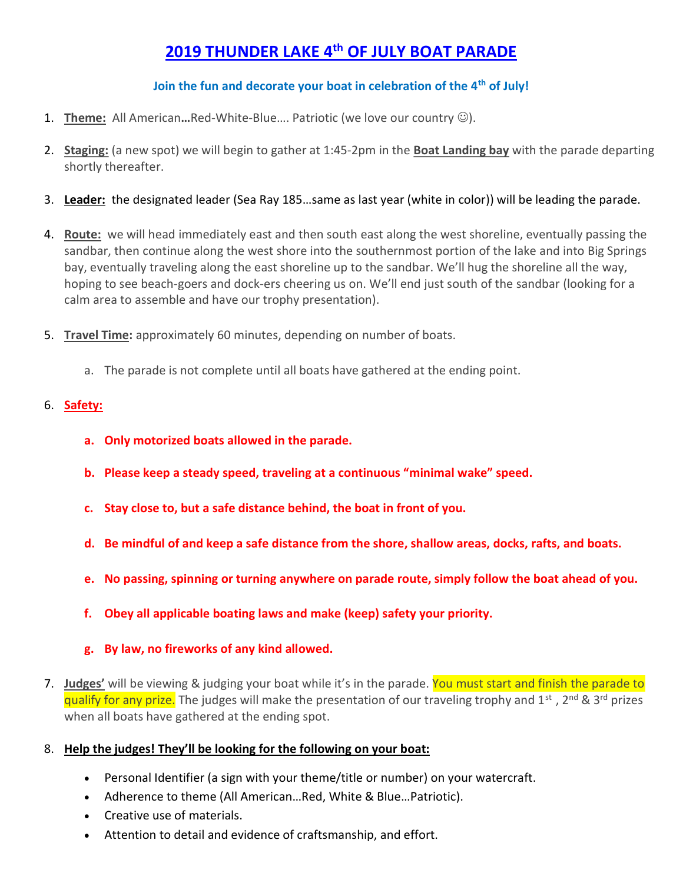## 2019 THUNDER LAKE 4<sup>th</sup> OF JULY BOAT PARADE

## Join the fun and decorate your boat in celebration of the 4<sup>th</sup> of July!

- 1. Theme: All American...Red-White-Blue.... Patriotic (we love our country  $\circledcirc$ ).
- 2. Staging: (a new spot) we will begin to gather at 1:45-2pm in the Boat Landing bay with the parade departing shortly thereafter.
- 3. Leader: the designated leader (Sea Ray 185...same as last year (white in color)) will be leading the parade.
- 4. Route: we will head immediately east and then south east along the west shoreline, eventually passing the sandbar, then continue along the west shore into the southernmost portion of the lake and into Big Springs bay, eventually traveling along the east shoreline up to the sandbar. We'll hug the shoreline all the way, hoping to see beach-goers and dock-ers cheering us on. We'll end just south of the sandbar (looking for a calm area to assemble and have our trophy presentation).
- 5. Travel Time: approximately 60 minutes, depending on number of boats.
	- a. The parade is not complete until all boats have gathered at the ending point.

## 6. Safety:

- a. Only motorized boats allowed in the parade.
- b. Please keep a steady speed, traveling at a continuous "minimal wake" speed.
- c. Stay close to, but a safe distance behind, the boat in front of you.
- d. Be mindful of and keep a safe distance from the shore, shallow areas, docks, rafts, and boats.
- e. No passing, spinning or turning anywhere on parade route, simply follow the boat ahead of you.
- f. Obey all applicable boating laws and make (keep) safety your priority.
- g. By law, no fireworks of any kind allowed.
- 7. Judges' will be viewing & judging your boat while it's in the parade. You must start and finish the parade to qualify for any prize. The judges will make the presentation of our traveling trophy and 1<sup>st</sup>, 2<sup>nd</sup> & 3<sup>rd</sup> prizes when all boats have gathered at the ending spot.
- 8. Help the judges! They'll be looking for the following on your boat:
	- Personal Identifier (a sign with your theme/title or number) on your watercraft.
	- Adherence to theme (All American…Red, White & Blue…Patriotic).
	- Creative use of materials.
	- Attention to detail and evidence of craftsmanship, and effort.